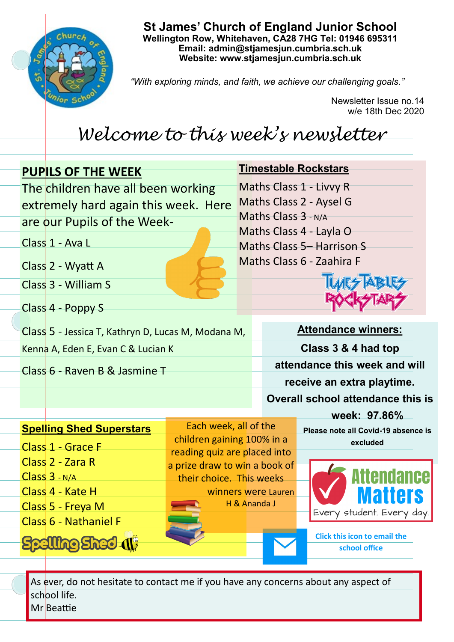

**St James' Church of England Junior School Wellington Row, Whitehaven, CA28 7HG Tel: 01946 695311 Email: admin@stjamesjun.cumbria.sch.uk Website: www.stjamesjun.cumbria.sch.uk**

*"With exploring minds, and faith, we achieve our challenging goals."*

Newsletter Issue no.14 w/e 18th Dec 2020

## *Welcome to this week's newsletter*

| <b>PUPILS OF THE WEEK</b>                                                                                                                                                               |                                                                                                                                                  |  | <b>Timestable Rockstars</b>                                                                                                                                                 |  |  |
|-----------------------------------------------------------------------------------------------------------------------------------------------------------------------------------------|--------------------------------------------------------------------------------------------------------------------------------------------------|--|-----------------------------------------------------------------------------------------------------------------------------------------------------------------------------|--|--|
| The children have all been working<br>extremely hard again this week. Here                                                                                                              |                                                                                                                                                  |  | Maths Class 1 - Livvy R<br>Maths Class 2 - Aysel G                                                                                                                          |  |  |
| are our Pupils of the Week-<br>Class 1 - Ava L                                                                                                                                          |                                                                                                                                                  |  | Maths Class 3 - N/A<br>Maths Class 4 - Layla O                                                                                                                              |  |  |
| Class 2 - Wyatt A                                                                                                                                                                       |                                                                                                                                                  |  | <b>Maths Class 5– Harrison S</b><br>Maths Class 6 - Zaahira F                                                                                                               |  |  |
| Class 3 - William S                                                                                                                                                                     |                                                                                                                                                  |  |                                                                                                                                                                             |  |  |
| Class 4 - Poppy S<br>Class 5 - Jessica T, Kathryn D, Lucas M, Modana M,                                                                                                                 |                                                                                                                                                  |  | <b>Attendance winners:</b>                                                                                                                                                  |  |  |
| Kenna A, Eden E, Evan C & Lucian K                                                                                                                                                      |                                                                                                                                                  |  | Class 3 & 4 had top                                                                                                                                                         |  |  |
| Class 6 - Raven B & Jasmine T                                                                                                                                                           |                                                                                                                                                  |  | attendance this week and will<br>receive an extra playtime.                                                                                                                 |  |  |
|                                                                                                                                                                                         |                                                                                                                                                  |  | <b>Overall school attendance this is</b><br>week: 97.86%                                                                                                                    |  |  |
| <b>Spelling Shed Superstars</b><br>Class 1 - Grace F<br>Class 2 - Zara R<br>Class 3 - N/A<br>Class 4 - Kate H<br>Class 5 - Freya M<br>Class 6 - Nathaniel F<br><b>Spelling Shed (1)</b> | Each week, all of the<br>children gaining 100% in a<br>reading quiz are placed into<br>a prize draw to win a book of<br>their choice. This weeks |  | Please note all Covid-19 absence is<br>excluded<br>winners were Lauren<br>H & Ananda J<br>Every student. Every day.<br><b>Click this icon to email the</b><br>school office |  |  |
| As over do not besitate to septact me if you have any sepsores about any aspect of                                                                                                      |                                                                                                                                                  |  |                                                                                                                                                                             |  |  |

As ever, do not hesitate to contact me if you have any concerns about any aspect of school life.

Mr Beattie